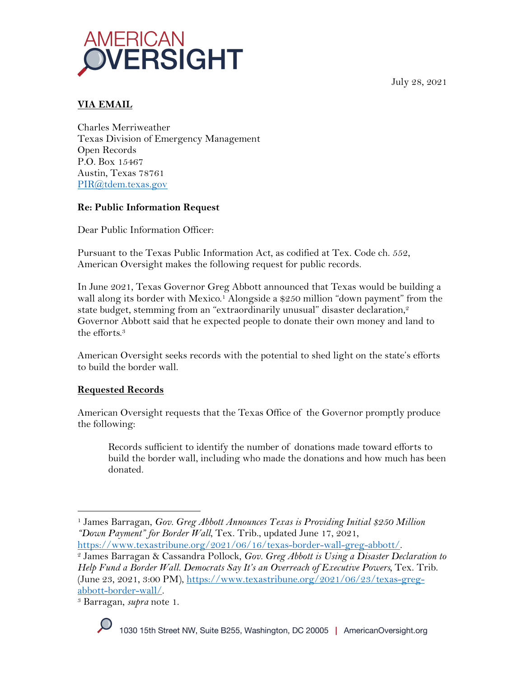July 28, 2021



# **VIA EMAIL**

Charles Merriweather Texas Division of Emergency Management Open Records P.O. Box 15467 Austin, Texas 78761 PIR@tdem.texas.gov

### **Re: Public Information Request**

Dear Public Information Officer:

Pursuant to the Texas Public Information Act, as codified at Tex. Code ch. 552, American Oversight makes the following request for public records.

In June 2021, Texas Governor Greg Abbott announced that Texas would be building a wall along its border with Mexico.<sup>1</sup> Alongside a \$250 million "down payment" from the state budget, stemming from an "extraordinarily unusual" disaster declaration, $\mathring{ }$ Governor Abbott said that he expected people to donate their own money and land to the efforts.3

American Oversight seeks records with the potential to shed light on the state's efforts to build the border wall.

### **Requested Records**

American Oversight requests that the Texas Office of the Governor promptly produce the following:

Records sufficient to identify the number of donations made toward efforts to build the border wall, including who made the donations and how much has been donated.

abbott-border-wall/. 3 Barragan, *supra* note 1.



<sup>1</sup> James Barragan, *Gov. Greg Abbott Announces Texas is Providing Initial \$250 Million "Down Payment" for Border Wall*, Tex. Trib., updated June 17, 2021,

https://www.texastribune.org/2021/06/16/texas-border-wall-greg-abbott/. 2 James Barragan & Cassandra Pollock, *Gov. Greg Abbott is Using a Disaster Declaration to Help Fund a Border Wall. Democrats Say It's an Overreach of Executive Powers, Tex. Trib.* (June 23, 2021, 3:00 PM), https://www.texastribune.org/2021/06/23/texas-greg-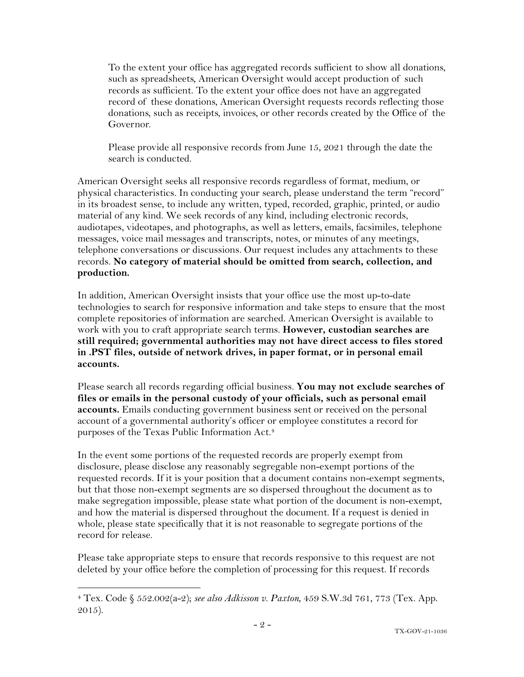To the extent your office has aggregated records sufficient to show all donations, such as spreadsheets, American Oversight would accept production of such records as sufficient. To the extent your office does not have an aggregated record of these donations, American Oversight requests records reflecting those donations, such as receipts, invoices, or other records created by the Office of the Governor.

Please provide all responsive records from June 15, 2021 through the date the search is conducted.

American Oversight seeks all responsive records regardless of format, medium, or physical characteristics. In conducting your search, please understand the term "record" in its broadest sense, to include any written, typed, recorded, graphic, printed, or audio material of any kind. We seek records of any kind, including electronic records, audiotapes, videotapes, and photographs, as well as letters, emails, facsimiles, telephone messages, voice mail messages and transcripts, notes, or minutes of any meetings, telephone conversations or discussions. Our request includes any attachments to these records. **No category of material should be omitted from search, collection, and production.**

In addition, American Oversight insists that your office use the most up-to-date technologies to search for responsive information and take steps to ensure that the most complete repositories of information are searched. American Oversight is available to work with you to craft appropriate search terms. **However, custodian searches are still required; governmental authorities may not have direct access to files stored in .PST files, outside of network drives, in paper format, or in personal email accounts.**

Please search all records regarding official business. **You may not exclude searches of files or emails in the personal custody of your officials, such as personal email accounts.** Emails conducting government business sent or received on the personal account of a governmental authority's officer or employee constitutes a record for purposes of the Texas Public Information Act.4

In the event some portions of the requested records are properly exempt from disclosure, please disclose any reasonably segregable non-exempt portions of the requested records. If it is your position that a document contains non-exempt segments, but that those non-exempt segments are so dispersed throughout the document as to make segregation impossible, please state what portion of the document is non-exempt, and how the material is dispersed throughout the document. If a request is denied in whole, please state specifically that it is not reasonable to segregate portions of the record for release.

Please take appropriate steps to ensure that records responsive to this request are not deleted by your office before the completion of processing for this request. If records

<sup>4</sup> Tex. Code § 552.002(a-2); *see also Adkisson v. Paxton*, 459 S.W.3d 761, 773 (Tex. App. 2015).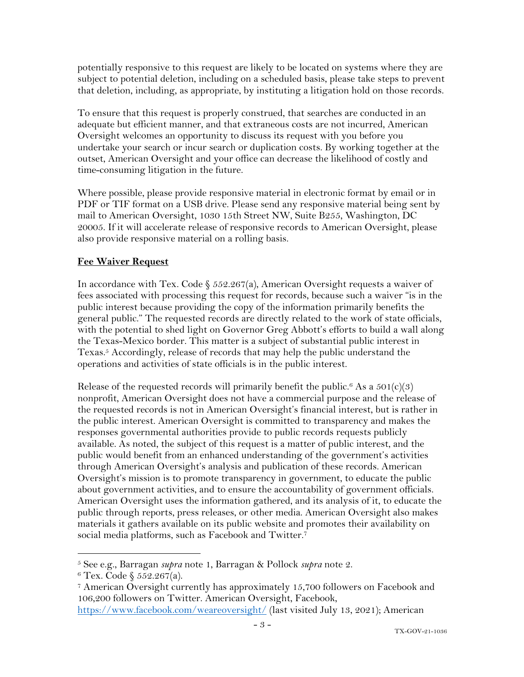potentially responsive to this request are likely to be located on systems where they are subject to potential deletion, including on a scheduled basis, please take steps to prevent that deletion, including, as appropriate, by instituting a litigation hold on those records.

To ensure that this request is properly construed, that searches are conducted in an adequate but efficient manner, and that extraneous costs are not incurred, American Oversight welcomes an opportunity to discuss its request with you before you undertake your search or incur search or duplication costs. By working together at the outset, American Oversight and your office can decrease the likelihood of costly and time-consuming litigation in the future.

Where possible, please provide responsive material in electronic format by email or in PDF or TIF format on a USB drive. Please send any responsive material being sent by mail to American Oversight, 1030 15th Street NW, Suite B255, Washington, DC 20005. If it will accelerate release of responsive records to American Oversight, please also provide responsive material on a rolling basis.

# **Fee Waiver Request**

In accordance with Tex. Code  $\S$  552.267(a), American Oversight requests a waiver of fees associated with processing this request for records, because such a waiver "is in the public interest because providing the copy of the information primarily benefits the general public." The requested records are directly related to the work of state officials, with the potential to shed light on Governor Greg Abbott's efforts to build a wall along the Texas-Mexico border. This matter is a subject of substantial public interest in Texas.5 Accordingly, release of records that may help the public understand the operations and activities of state officials is in the public interest.

Release of the requested records will primarily benefit the public.<sup>6</sup> As a  $501(c)(3)$ nonprofit, American Oversight does not have a commercial purpose and the release of the requested records is not in American Oversight's financial interest, but is rather in the public interest. American Oversight is committed to transparency and makes the responses governmental authorities provide to public records requests publicly available. As noted, the subject of this request is a matter of public interest, and the public would benefit from an enhanced understanding of the government's activities through American Oversight's analysis and publication of these records. American Oversight's mission is to promote transparency in government, to educate the public about government activities, and to ensure the accountability of government officials. American Oversight uses the information gathered, and its analysis of it, to educate the public through reports, press releases, or other media. American Oversight also makes materials it gathers available on its public website and promotes their availability on social media platforms, such as Facebook and Twitter.7

<sup>5</sup> See e.g., Barragan *supra* note 1, Barragan & Pollock *supra* note 2. 6 Tex. Code § 552.267(a).

<sup>7</sup> American Oversight currently has approximately 15,700 followers on Facebook and 106,200 followers on Twitter. American Oversight, Facebook,

https://www.facebook.com/weareoversight/ (last visited July 13, 2021); American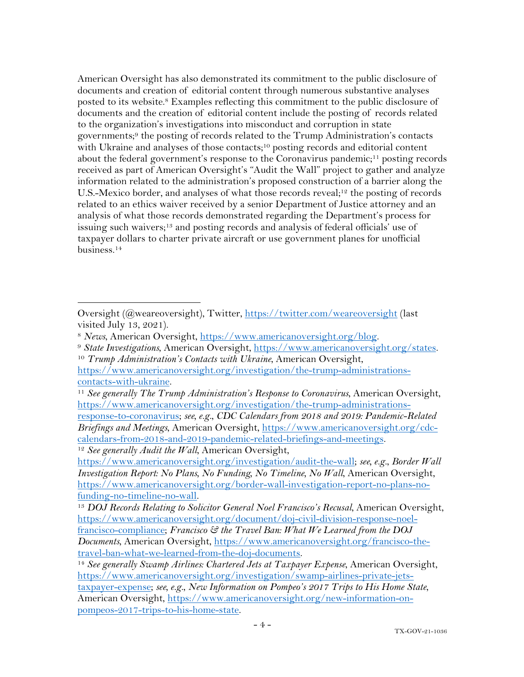American Oversight has also demonstrated its commitment to the public disclosure of documents and creation of editorial content through numerous substantive analyses posted to its website.8 Examples reflecting this commitment to the public disclosure of documents and the creation of editorial content include the posting of records related to the organization's investigations into misconduct and corruption in state governments; <sup>9</sup> the posting of records related to the Trump Administration's contacts with Ukraine and analyses of those contacts;<sup>10</sup> posting records and editorial content about the federal government's response to the Coronavirus pandemic;<sup>11</sup> posting records received as part of American Oversight's "Audit the Wall" project to gather and analyze information related to the administration's proposed construction of a barrier along the U.S.-Mexico border, and analyses of what those records reveal;<sup>12</sup> the posting of records related to an ethics waiver received by a senior Department of Justice attorney and an analysis of what those records demonstrated regarding the Department's process for issuing such waivers;13 and posting records and analysis of federal officials' use of taxpayer dollars to charter private aircraft or use government planes for unofficial business.14

Oversight (@weareoversight), Twitter, https://twitter.com/weareoversight (last visited July 13, 2021).

<sup>&</sup>lt;sup>8</sup> News, American Oversight, https://www.americanoversight.org/blog.<br><sup>9</sup> State Investigations, American Oversight, https://www.americanoversight.org/states.<br><sup>10</sup> Trump Administration's Contacts with Ukraine, American Over

https://www.americanoversight.org/investigation/the-trump-administrationscontacts-with-ukraine.

<sup>11</sup> *See generally The Trump Administration's Response to Coronavirus*, American Oversight, https://www.americanoversight.org/investigation/the-trump-administrations-

response-to-coronavirus; *see, e.g.*, *CDC Calendars from 2018 and 2019: Pandemic-Related Briefings and Meetings*, American Oversight, https://www.americanoversight.org/cdccalendars-from-2018-and-2019-pandemic-related-briefings-and-meetings.

<sup>12</sup> *See generally Audit the Wall*, American Oversight,

https://www.americanoversight.org/investigation/audit-the-wall; *see, e.g.*, *Border Wall Investigation Report: No Plans, No Funding, No Timeline, No Wall*, American Oversight, https://www.americanoversight.org/border-wall-investigation-report-no-plans-nofunding-no-timeline-no-wall. 13 *DOJ Records Relating to Solicitor General Noel Francisco's Recusal*, American Oversight,

https://www.americanoversight.org/document/doj-civil-division-response-noelfrancisco-compliance; *Francisco & the Travel Ban: What We Learned from the DOJ Documents*, American Oversight, https://www.americanoversight.org/francisco-thetravel-ban-what-we-learned-from-the-doj-documents.

<sup>&</sup>lt;sup>14</sup> See generally Swamp Airlines: Chartered Jets at Taxpayer Expense, American Oversight, https://www.americanoversight.org/investigation/swamp-airlines-private-jetstaxpayer-expense; *see, e.g.*, *New Information on Pompeo's 2017 Trips to His Home State*, American Oversight, https://www.americanoversight.org/new-information-onpompeos-2017-trips-to-his-home-state.